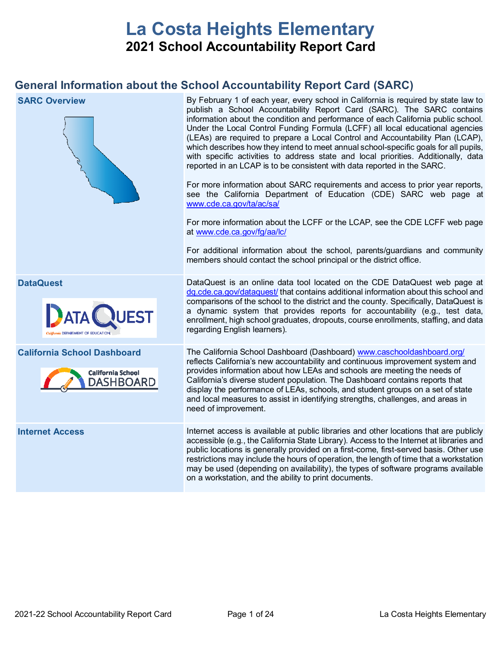# **La Costa Heights Elementary 2021 School Accountability Report Card**

## **General Information about the School Accountability Report Card (SARC)**

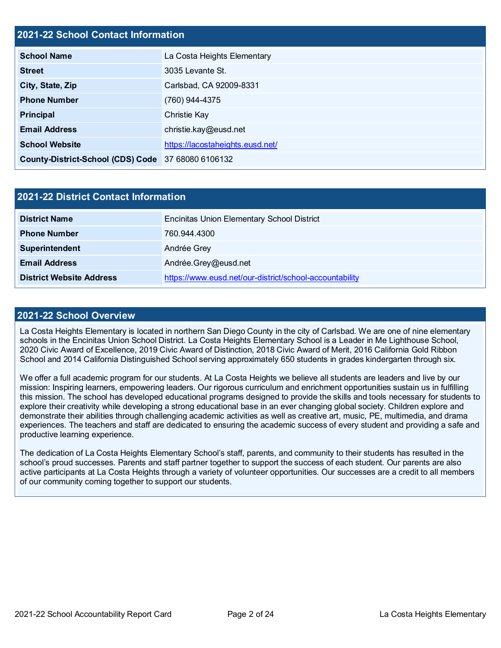## **2021-22 School Contact Information**

| <b>School Name</b>                                 | La Costa Heights Elementary      |  |  |  |
|----------------------------------------------------|----------------------------------|--|--|--|
| <b>Street</b>                                      | 3035 Levante St.                 |  |  |  |
| City, State, Zip                                   | Carlsbad, CA 92009-8331          |  |  |  |
| <b>Phone Number</b>                                | (760) 944-4375                   |  |  |  |
| <b>Principal</b>                                   | Christie Kay                     |  |  |  |
| <b>Email Address</b>                               | christie.kay@eusd.net            |  |  |  |
| <b>School Website</b>                              | https://lacostaheights.eusd.net/ |  |  |  |
| County-District-School (CDS) Code 37 68080 6106132 |                                  |  |  |  |

| <b>2021-22 District Contact Information</b> |                                                         |  |  |  |
|---------------------------------------------|---------------------------------------------------------|--|--|--|
| <b>District Name</b>                        | <b>Encinitas Union Elementary School District</b>       |  |  |  |
| <b>Phone Number</b>                         | 760.944.4300                                            |  |  |  |
| Superintendent                              | Andrée Grey                                             |  |  |  |
| <b>Email Address</b>                        | Andrée.Grey@eusd.net                                    |  |  |  |
| <b>District Website Address</b>             | https://www.eusd.net/our-district/school-accountability |  |  |  |

#### **2021-22 School Overview**

La Costa Heights Elementary is located in northern San Diego County in the city of Carlsbad. We are one of nine elementary schools in the Encinitas Union School District. La Costa Heights Elementary School is a Leader in Me Lighthouse School, 2020 Civic Award of Excellence, 2019 Civic Award of Distinction, 2018 Civic Award of Merit, 2016 California Gold Ribbon School and 2014 California Distinguished School serving approximately 650 students in grades kindergarten through six.

We offer a full academic program for our students. At La Costa Heights we believe all students are leaders and live by our mission: Inspiring learners, empowering leaders. Our rigorous curriculum and enrichment opportunities sustain us in fulfilling this mission. The school has developed educational programs designed to provide the skills and tools necessary for students to explore their creativity while developing a strong educational base in an ever changing global society. Children explore and demonstrate their abilities through challenging academic activities as well as creative art, music, PE, multimedia, and drama experiences. The teachers and staff are dedicated to ensuring the academic success of every student and providing a safe and productive learning experience.

The dedication of La Costa Heights Elementary School's staff, parents, and community to their students has resulted in the school's proud successes. Parents and staff partner together to support the success of each student. Our parents are also active participants at La Costa Heights through a variety of volunteer opportunities. Our successes are a credit to all members of our community coming together to support our students.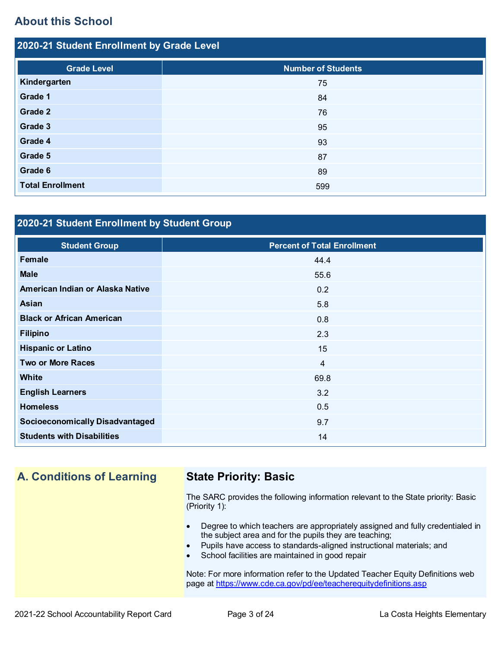## **About this School**

| 2020-21 Student Enrollment by Grade Level |                           |  |  |  |
|-------------------------------------------|---------------------------|--|--|--|
| <b>Grade Level</b>                        | <b>Number of Students</b> |  |  |  |
| Kindergarten                              | 75                        |  |  |  |
| Grade 1                                   | 84                        |  |  |  |
| Grade 2                                   | 76                        |  |  |  |
| Grade 3                                   | 95                        |  |  |  |
| Grade 4                                   | 93                        |  |  |  |
| Grade 5                                   | 87                        |  |  |  |
| Grade 6                                   | 89                        |  |  |  |
| <b>Total Enrollment</b>                   | 599                       |  |  |  |

## **2020-21 Student Enrollment by Student Group**

| <b>Student Group</b>                   | <b>Percent of Total Enrollment</b> |
|----------------------------------------|------------------------------------|
| Female                                 | 44.4                               |
| <b>Male</b>                            | 55.6                               |
| American Indian or Alaska Native       | 0.2                                |
| Asian                                  | 5.8                                |
| <b>Black or African American</b>       | 0.8                                |
| <b>Filipino</b>                        | 2.3                                |
| <b>Hispanic or Latino</b>              | 15                                 |
| <b>Two or More Races</b>               | $\overline{4}$                     |
| <b>White</b>                           | 69.8                               |
| <b>English Learners</b>                | 3.2                                |
| <b>Homeless</b>                        | 0.5                                |
| <b>Socioeconomically Disadvantaged</b> | 9.7                                |
| <b>Students with Disabilities</b>      | 14                                 |

## **A. Conditions of Learning State Priority: Basic**

The SARC provides the following information relevant to the State priority: Basic (Priority 1):

- Degree to which teachers are appropriately assigned and fully credentialed in the subject area and for the pupils they are teaching;
- Pupils have access to standards-aligned instructional materials; and
- School facilities are maintained in good repair

Note: For more information refer to the Updated Teacher Equity Definitions web page at<https://www.cde.ca.gov/pd/ee/teacherequitydefinitions.asp>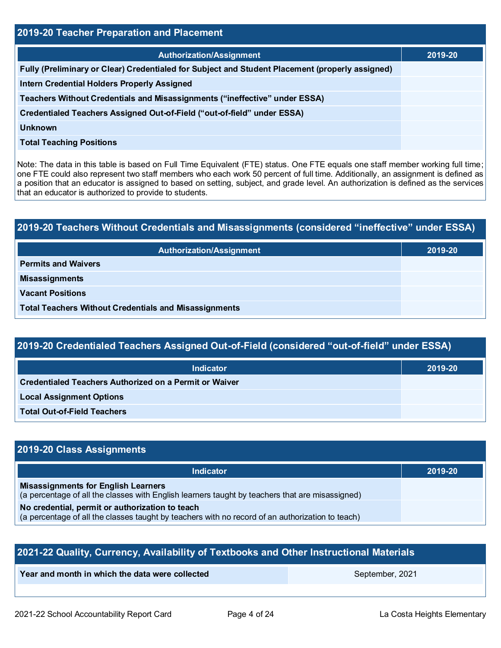| 2019-20 Teacher Preparation and Placement                                                       |         |  |  |  |
|-------------------------------------------------------------------------------------------------|---------|--|--|--|
| <b>Authorization/Assignment</b>                                                                 | 2019-20 |  |  |  |
| Fully (Preliminary or Clear) Credentialed for Subject and Student Placement (properly assigned) |         |  |  |  |
| <b>Intern Credential Holders Properly Assigned</b>                                              |         |  |  |  |
| Teachers Without Credentials and Misassignments ("ineffective" under ESSA)                      |         |  |  |  |
| Credentialed Teachers Assigned Out-of-Field ("out-of-field" under ESSA)                         |         |  |  |  |
| <b>Unknown</b>                                                                                  |         |  |  |  |
| <b>Total Teaching Positions</b>                                                                 |         |  |  |  |

Note: The data in this table is based on Full Time Equivalent (FTE) status. One FTE equals one staff member working full time; one FTE could also represent two staff members who each work 50 percent of full time. Additionally, an assignment is defined as a position that an educator is assigned to based on setting, subject, and grade level. An authorization is defined as the services that an educator is authorized to provide to students.

# **2019-20 Teachers Without Credentials and Misassignments (considered "ineffective" under ESSA)**

| Authorization/Assignment                                     | 2019-20 |
|--------------------------------------------------------------|---------|
| <b>Permits and Waivers</b>                                   |         |
| <b>Misassignments</b>                                        |         |
| <b>Vacant Positions</b>                                      |         |
| <b>Total Teachers Without Credentials and Misassignments</b> |         |

## **2019-20 Credentialed Teachers Assigned Out-of-Field (considered "out-of-field" under ESSA)**

| <b>Indicator</b>                                       | 2019-20 |
|--------------------------------------------------------|---------|
| Credentialed Teachers Authorized on a Permit or Waiver |         |
| <b>Local Assignment Options</b>                        |         |
| <b>Total Out-of-Field Teachers</b>                     |         |

## **2019-20 Class Assignments**

| <b>Indicator</b>                                                                                                                                    | 2019-20 |
|-----------------------------------------------------------------------------------------------------------------------------------------------------|---------|
| <b>Misassignments for English Learners</b><br>(a percentage of all the classes with English learners taught by teachers that are misassigned)       |         |
| No credential, permit or authorization to teach<br>(a percentage of all the classes taught by teachers with no record of an authorization to teach) |         |

| 2021-22 Quality, Currency, Availability of Textbooks and Other Instructional Materials |  |  |  |  |  |  |
|----------------------------------------------------------------------------------------|--|--|--|--|--|--|
| Year and month in which the data were collected<br>September, 2021                     |  |  |  |  |  |  |
|                                                                                        |  |  |  |  |  |  |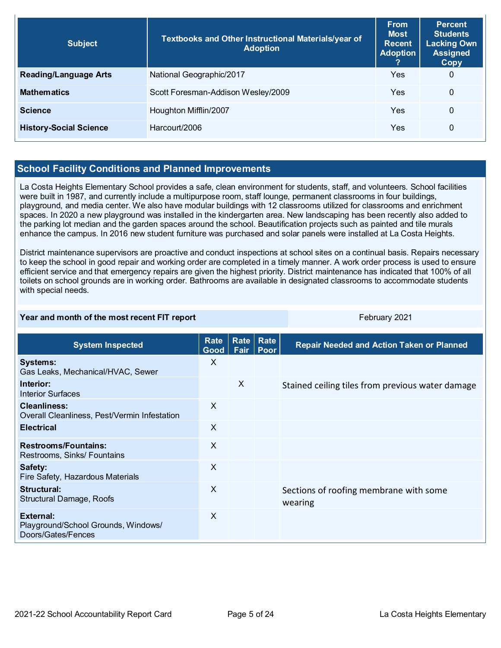| <b>Subject</b>                | Textbooks and Other Instructional Materials/year of<br><b>Adoption</b> | <b>From</b><br><b>Most</b><br><b>Recent</b><br><b>Adoption</b> | <b>Percent</b><br><b>Students</b><br><b>Lacking Own</b><br><b>Assigned</b><br>Copy |
|-------------------------------|------------------------------------------------------------------------|----------------------------------------------------------------|------------------------------------------------------------------------------------|
| <b>Reading/Language Arts</b>  | National Geographic/2017                                               | Yes                                                            | $\mathbf 0$                                                                        |
| <b>Mathematics</b>            | Scott Foresman-Addison Wesley/2009                                     | Yes                                                            | $\Omega$                                                                           |
| <b>Science</b>                | Houghton Mifflin/2007                                                  | Yes                                                            | $\mathbf{0}$                                                                       |
| <b>History-Social Science</b> | Harcourt/2006                                                          | Yes                                                            | 0                                                                                  |

## **School Facility Conditions and Planned Improvements**

La Costa Heights Elementary School provides a safe, clean environment for students, staff, and volunteers. School facilities were built in 1987, and currently include a multipurpose room, staff lounge, permanent classrooms in four buildings, playground, and media center. We also have modular buildings with 12 classrooms utilized for classrooms and enrichment spaces. In 2020 a new playground was installed in the kindergarten area. New landscaping has been recently also added to the parking lot median and the garden spaces around the school. Beautification projects such as painted and tile murals enhance the campus. In 2016 new student furniture was purchased and solar panels were installed at La Costa Heights.

District maintenance supervisors are proactive and conduct inspections at school sites on a continual basis. Repairs necessary to keep the school in good repair and working order are completed in a timely manner. A work order process is used to ensure efficient service and that emergency repairs are given the highest priority. District maintenance has indicated that 100% of all toilets on school grounds are in working order. Bathrooms are available in designated classrooms to accommodate students with special needs.

#### **Year and month of the most recent FIT report** February 2021

| <b>System Inspected</b>                                                | Rate<br>Good <sub>1</sub> | <b>Rate</b><br>Fair | Rate<br>Poor | <b>Repair Needed and Action Taken or Planned</b>  |
|------------------------------------------------------------------------|---------------------------|---------------------|--------------|---------------------------------------------------|
| <b>Systems:</b><br>Gas Leaks, Mechanical/HVAC, Sewer                   | X                         |                     |              |                                                   |
| Interior:<br>Interior Surfaces                                         |                           | $\times$            |              | Stained ceiling tiles from previous water damage  |
| <b>Cleanliness:</b><br>Overall Cleanliness, Pest/Vermin Infestation    | X                         |                     |              |                                                   |
| <b>Electrical</b>                                                      | $\times$                  |                     |              |                                                   |
| <b>Restrooms/Fountains:</b><br>Restrooms, Sinks/ Fountains             | $\times$                  |                     |              |                                                   |
| Safety:<br>Fire Safety, Hazardous Materials                            | $\times$                  |                     |              |                                                   |
| Structural:<br>Structural Damage, Roofs                                | $\times$                  |                     |              | Sections of roofing membrane with some<br>wearing |
| External:<br>Playground/School Grounds, Windows/<br>Doors/Gates/Fences | $\times$                  |                     |              |                                                   |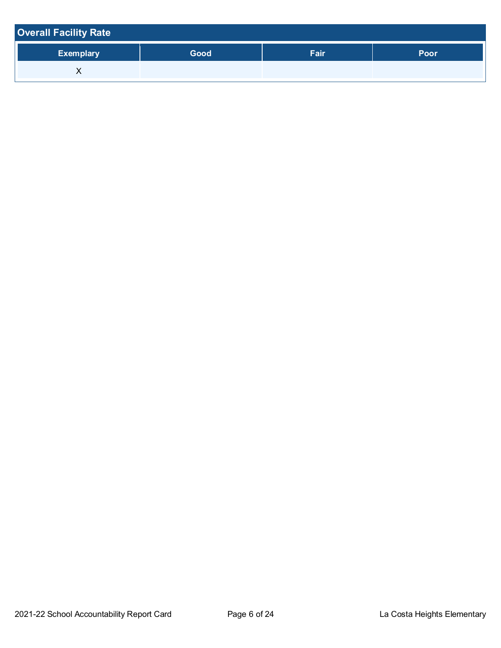| <b>Overall Facility Rate</b> |      |      |      |
|------------------------------|------|------|------|
| <b>Exemplary</b>             | Good | Fair | Poor |
|                              |      |      |      |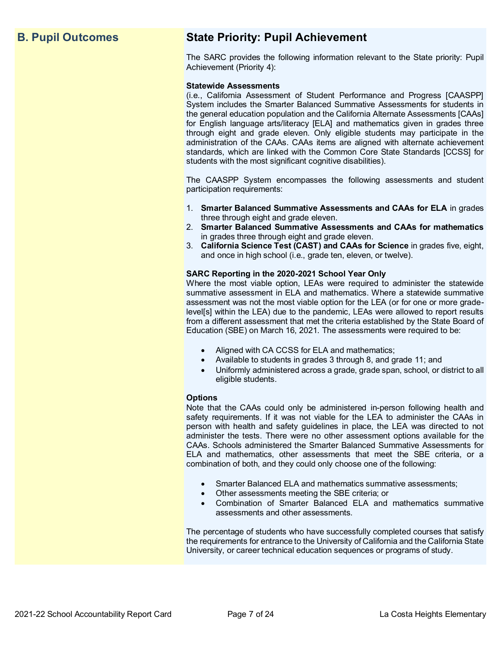## **B. Pupil Outcomes State Priority: Pupil Achievement**

The SARC provides the following information relevant to the State priority: Pupil Achievement (Priority 4):

#### **Statewide Assessments**

(i.e., California Assessment of Student Performance and Progress [CAASPP] System includes the Smarter Balanced Summative Assessments for students in the general education population and the California Alternate Assessments [CAAs] for English language arts/literacy [ELA] and mathematics given in grades three through eight and grade eleven. Only eligible students may participate in the administration of the CAAs. CAAs items are aligned with alternate achievement standards, which are linked with the Common Core State Standards [CCSS] for students with the most significant cognitive disabilities).

The CAASPP System encompasses the following assessments and student participation requirements:

- 1. **Smarter Balanced Summative Assessments and CAAs for ELA** in grades three through eight and grade eleven.
- 2. **Smarter Balanced Summative Assessments and CAAs for mathematics** in grades three through eight and grade eleven.
- 3. **California Science Test (CAST) and CAAs for Science** in grades five, eight, and once in high school (i.e., grade ten, eleven, or twelve).

#### **SARC Reporting in the 2020-2021 School Year Only**

Where the most viable option, LEAs were required to administer the statewide summative assessment in ELA and mathematics. Where a statewide summative assessment was not the most viable option for the LEA (or for one or more gradelevel[s] within the LEA) due to the pandemic, LEAs were allowed to report results from a different assessment that met the criteria established by the State Board of Education (SBE) on March 16, 2021. The assessments were required to be:

- Aligned with CA CCSS for ELA and mathematics;
- Available to students in grades 3 through 8, and grade 11; and
- Uniformly administered across a grade, grade span, school, or district to all eligible students.

#### **Options**

Note that the CAAs could only be administered in-person following health and safety requirements. If it was not viable for the LEA to administer the CAAs in person with health and safety guidelines in place, the LEA was directed to not administer the tests. There were no other assessment options available for the CAAs. Schools administered the Smarter Balanced Summative Assessments for ELA and mathematics, other assessments that meet the SBE criteria, or a combination of both, and they could only choose one of the following:

- Smarter Balanced ELA and mathematics summative assessments;
- Other assessments meeting the SBE criteria; or
- Combination of Smarter Balanced ELA and mathematics summative assessments and other assessments.

The percentage of students who have successfully completed courses that satisfy the requirements for entrance to the University of California and the California State University, or career technical education sequences or programs of study.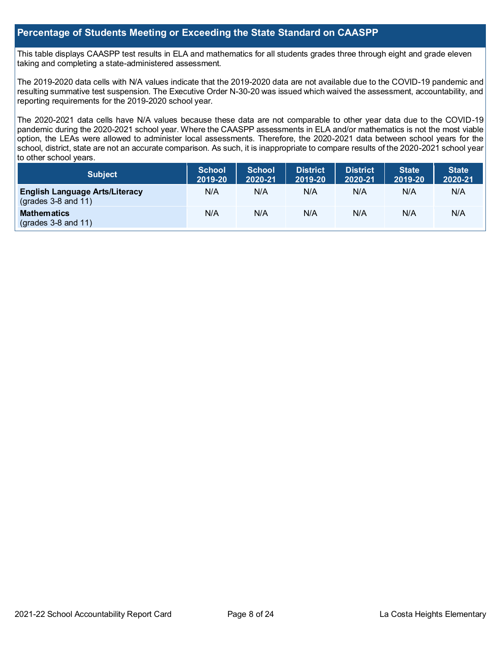## **Percentage of Students Meeting or Exceeding the State Standard on CAASPP**

This table displays CAASPP test results in ELA and mathematics for all students grades three through eight and grade eleven taking and completing a state-administered assessment.

The 2019-2020 data cells with N/A values indicate that the 2019-2020 data are not available due to the COVID-19 pandemic and resulting summative test suspension. The Executive Order N-30-20 was issued which waived the assessment, accountability, and reporting requirements for the 2019-2020 school year.

The 2020-2021 data cells have N/A values because these data are not comparable to other year data due to the COVID-19 pandemic during the 2020-2021 school year. Where the CAASPP assessments in ELA and/or mathematics is not the most viable option, the LEAs were allowed to administer local assessments. Therefore, the 2020-2021 data between school years for the school, district, state are not an accurate comparison. As such, it is inappropriate to compare results of the 2020-2021 school year to other school years.

| <b>Subject</b>                                                       | <b>School</b><br>2019-20 | <b>School</b><br>2020-21 | <b>District</b><br>2019-20 | <b>District</b><br>2020-21 | <b>State</b><br>2019-20 | State <sup>1</sup><br>2020-21 |
|----------------------------------------------------------------------|--------------------------|--------------------------|----------------------------|----------------------------|-------------------------|-------------------------------|
| <b>English Language Arts/Literacy</b><br>$\left($ grades 3-8 and 11) | N/A                      | N/A                      | N/A                        | N/A                        | N/A                     | N/A                           |
| <b>Mathematics</b><br>$\left($ grades 3-8 and 11)                    | N/A                      | N/A                      | N/A                        | N/A                        | N/A                     | N/A                           |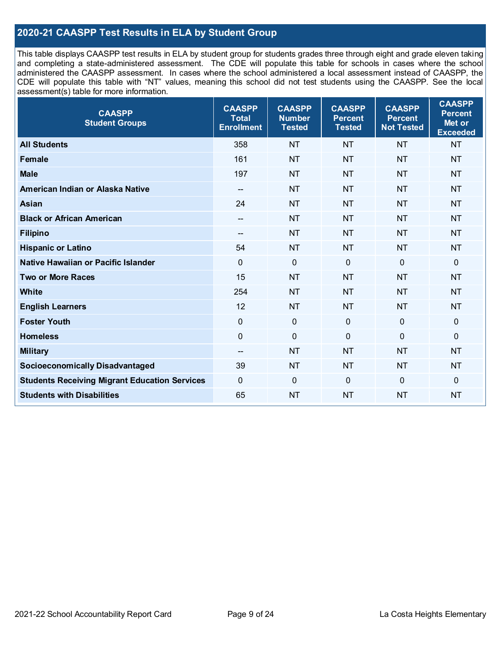## **2020-21 CAASPP Test Results in ELA by Student Group**

This table displays CAASPP test results in ELA by student group for students grades three through eight and grade eleven taking and completing a state-administered assessment. The CDE will populate this table for schools in cases where the school administered the CAASPP assessment. In cases where the school administered a local assessment instead of CAASPP, the CDE will populate this table with "NT" values, meaning this school did not test students using the CAASPP. See the local assessment(s) table for more information.

| <b>CAASPP</b><br><b>Student Groups</b>               | <b>CAASPP</b><br><b>Total</b><br><b>Enrollment</b> | <b>CAASPP</b><br><b>Number</b><br><b>Tested</b> | <b>CAASPP</b><br><b>Percent</b><br><b>Tested</b> | <b>CAASPP</b><br><b>Percent</b><br><b>Not Tested</b> | <b>CAASPP</b><br><b>Percent</b><br>Met or<br><b>Exceeded</b> |
|------------------------------------------------------|----------------------------------------------------|-------------------------------------------------|--------------------------------------------------|------------------------------------------------------|--------------------------------------------------------------|
| <b>All Students</b>                                  | 358                                                | <b>NT</b>                                       | <b>NT</b>                                        | <b>NT</b>                                            | <b>NT</b>                                                    |
| <b>Female</b>                                        | 161                                                | <b>NT</b>                                       | <b>NT</b>                                        | <b>NT</b>                                            | <b>NT</b>                                                    |
| <b>Male</b>                                          | 197                                                | <b>NT</b>                                       | <b>NT</b>                                        | <b>NT</b>                                            | <b>NT</b>                                                    |
| American Indian or Alaska Native                     | $\overline{\phantom{a}}$                           | <b>NT</b>                                       | <b>NT</b>                                        | <b>NT</b>                                            | <b>NT</b>                                                    |
| <b>Asian</b>                                         | 24                                                 | <b>NT</b>                                       | <b>NT</b>                                        | <b>NT</b>                                            | <b>NT</b>                                                    |
| <b>Black or African American</b>                     | --                                                 | <b>NT</b>                                       | <b>NT</b>                                        | <b>NT</b>                                            | <b>NT</b>                                                    |
| <b>Filipino</b>                                      | $-$                                                | <b>NT</b>                                       | <b>NT</b>                                        | <b>NT</b>                                            | <b>NT</b>                                                    |
| <b>Hispanic or Latino</b>                            | 54                                                 | <b>NT</b>                                       | <b>NT</b>                                        | <b>NT</b>                                            | <b>NT</b>                                                    |
| Native Hawaiian or Pacific Islander                  | $\mathbf 0$                                        | $\mathbf 0$                                     | $\mathbf 0$                                      | $\mathbf 0$                                          | 0                                                            |
| <b>Two or More Races</b>                             | 15                                                 | <b>NT</b>                                       | <b>NT</b>                                        | <b>NT</b>                                            | <b>NT</b>                                                    |
| <b>White</b>                                         | 254                                                | <b>NT</b>                                       | <b>NT</b>                                        | <b>NT</b>                                            | <b>NT</b>                                                    |
| <b>English Learners</b>                              | 12                                                 | <b>NT</b>                                       | <b>NT</b>                                        | <b>NT</b>                                            | <b>NT</b>                                                    |
| <b>Foster Youth</b>                                  | 0                                                  | $\mathbf 0$                                     | $\mathbf 0$                                      | $\overline{0}$                                       | $\mathbf 0$                                                  |
| <b>Homeless</b>                                      | $\mathbf 0$                                        | $\pmb{0}$                                       | $\mathbf 0$                                      | $\mathbf 0$                                          | 0                                                            |
| <b>Military</b>                                      | --                                                 | <b>NT</b>                                       | <b>NT</b>                                        | <b>NT</b>                                            | <b>NT</b>                                                    |
| <b>Socioeconomically Disadvantaged</b>               | 39                                                 | <b>NT</b>                                       | <b>NT</b>                                        | <b>NT</b>                                            | <b>NT</b>                                                    |
| <b>Students Receiving Migrant Education Services</b> | 0                                                  | $\mathbf 0$                                     | $\overline{0}$                                   | $\mathbf 0$                                          | 0                                                            |
| <b>Students with Disabilities</b>                    | 65                                                 | <b>NT</b>                                       | <b>NT</b>                                        | <b>NT</b>                                            | <b>NT</b>                                                    |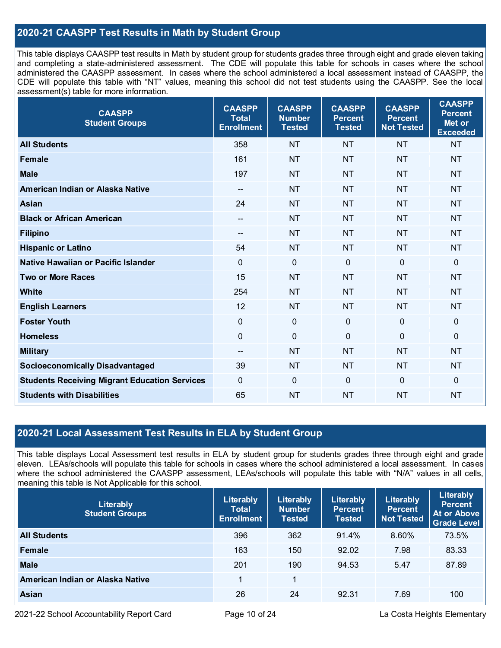## **2020-21 CAASPP Test Results in Math by Student Group**

This table displays CAASPP test results in Math by student group for students grades three through eight and grade eleven taking and completing a state-administered assessment. The CDE will populate this table for schools in cases where the school administered the CAASPP assessment. In cases where the school administered a local assessment instead of CAASPP, the CDE will populate this table with "NT" values, meaning this school did not test students using the CAASPP. See the local assessment(s) table for more information.

| <b>CAASPP</b><br><b>Student Groups</b>               | <b>CAASPP</b><br><b>Total</b><br><b>Enrollment</b> | <b>CAASPP</b><br><b>Number</b><br><b>Tested</b> | <b>CAASPP</b><br><b>Percent</b><br><b>Tested</b> | <b>CAASPP</b><br><b>Percent</b><br><b>Not Tested</b> | <b>CAASPP</b><br><b>Percent</b><br>Met or<br><b>Exceeded</b> |
|------------------------------------------------------|----------------------------------------------------|-------------------------------------------------|--------------------------------------------------|------------------------------------------------------|--------------------------------------------------------------|
| <b>All Students</b>                                  | 358                                                | <b>NT</b>                                       | <b>NT</b>                                        | <b>NT</b>                                            | <b>NT</b>                                                    |
| <b>Female</b>                                        | 161                                                | <b>NT</b>                                       | <b>NT</b>                                        | <b>NT</b>                                            | <b>NT</b>                                                    |
| <b>Male</b>                                          | 197                                                | <b>NT</b>                                       | <b>NT</b>                                        | <b>NT</b>                                            | <b>NT</b>                                                    |
| American Indian or Alaska Native                     | $\overline{\phantom{a}}$                           | <b>NT</b>                                       | <b>NT</b>                                        | <b>NT</b>                                            | <b>NT</b>                                                    |
| <b>Asian</b>                                         | 24                                                 | <b>NT</b>                                       | <b>NT</b>                                        | <b>NT</b>                                            | <b>NT</b>                                                    |
| <b>Black or African American</b>                     |                                                    | <b>NT</b>                                       | <b>NT</b>                                        | <b>NT</b>                                            | <b>NT</b>                                                    |
| <b>Filipino</b>                                      | $- -$                                              | <b>NT</b>                                       | <b>NT</b>                                        | <b>NT</b>                                            | <b>NT</b>                                                    |
| <b>Hispanic or Latino</b>                            | 54                                                 | <b>NT</b>                                       | <b>NT</b>                                        | <b>NT</b>                                            | <b>NT</b>                                                    |
| <b>Native Hawaiian or Pacific Islander</b>           | $\mathbf 0$                                        | $\mathbf 0$                                     | $\mathbf 0$                                      | $\mathbf 0$                                          | $\mathbf 0$                                                  |
| <b>Two or More Races</b>                             | 15                                                 | <b>NT</b>                                       | <b>NT</b>                                        | <b>NT</b>                                            | <b>NT</b>                                                    |
| White                                                | 254                                                | <b>NT</b>                                       | <b>NT</b>                                        | <b>NT</b>                                            | <b>NT</b>                                                    |
| <b>English Learners</b>                              | 12                                                 | <b>NT</b>                                       | <b>NT</b>                                        | <b>NT</b>                                            | <b>NT</b>                                                    |
| <b>Foster Youth</b>                                  | $\mathbf 0$                                        | $\mathbf 0$                                     | $\mathbf{0}$                                     | $\mathbf{0}$                                         | $\mathbf 0$                                                  |
| <b>Homeless</b>                                      | $\mathbf 0$                                        | $\mathbf 0$                                     | $\mathbf 0$                                      | $\overline{0}$                                       | $\mathbf 0$                                                  |
| <b>Military</b>                                      | $\overline{\phantom{a}}$                           | <b>NT</b>                                       | <b>NT</b>                                        | <b>NT</b>                                            | <b>NT</b>                                                    |
| <b>Socioeconomically Disadvantaged</b>               | 39                                                 | <b>NT</b>                                       | <b>NT</b>                                        | <b>NT</b>                                            | <b>NT</b>                                                    |
| <b>Students Receiving Migrant Education Services</b> | $\mathbf 0$                                        | $\mathbf 0$                                     | $\mathbf{0}$                                     | $\mathbf 0$                                          | $\mathbf 0$                                                  |
| <b>Students with Disabilities</b>                    | 65                                                 | <b>NT</b>                                       | <b>NT</b>                                        | <b>NT</b>                                            | <b>NT</b>                                                    |

## **2020-21 Local Assessment Test Results in ELA by Student Group**

This table displays Local Assessment test results in ELA by student group for students grades three through eight and grade eleven. LEAs/schools will populate this table for schools in cases where the school administered a local assessment. In cases where the school administered the CAASPP assessment, LEAs/schools will populate this table with "N/A" values in all cells, meaning this table is Not Applicable for this school.

| Literably<br><b>Student Groups</b> | Literably<br><b>Total</b><br><b>Enrollment</b> | Literably<br><b>Number</b><br><b>Tested</b> | Literably<br><b>Percent</b><br><b>Tested</b> | Literably<br><b>Percent</b><br><b>Not Tested</b> | Literably<br><b>Percent</b><br>At or Above<br><b>Grade Level</b> |
|------------------------------------|------------------------------------------------|---------------------------------------------|----------------------------------------------|--------------------------------------------------|------------------------------------------------------------------|
| <b>All Students</b>                | 396                                            | 362                                         | 91.4%                                        | 8.60%                                            | 73.5%                                                            |
| Female                             | 163                                            | 150                                         | 92.02                                        | 7.98                                             | 83.33                                                            |
| <b>Male</b>                        | 201                                            | 190                                         | 94.53                                        | 5.47                                             | 87.89                                                            |
| American Indian or Alaska Native   |                                                | 1                                           |                                              |                                                  |                                                                  |
| <b>Asian</b>                       | 26                                             | 24                                          | 92.31                                        | 7.69                                             | 100                                                              |

2021-22 School Accountability Report Card **Page 10 of 24** La Costa Heights Elementary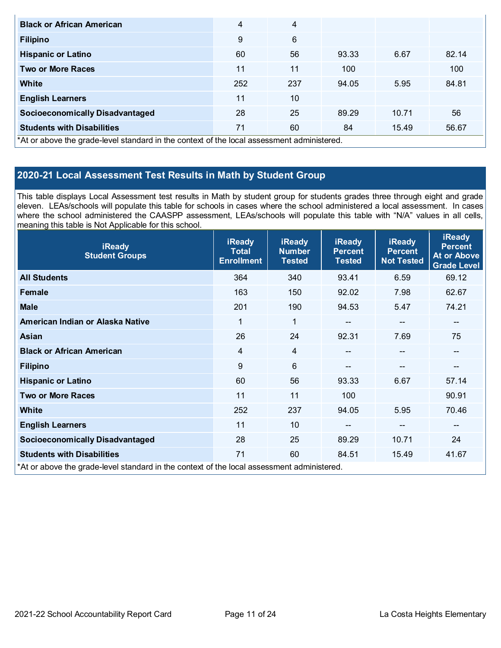| <b>Black or African American</b>                                                           | 4   | 4   |       |       |       |
|--------------------------------------------------------------------------------------------|-----|-----|-------|-------|-------|
| <b>Filipino</b>                                                                            | 9   | 6   |       |       |       |
| <b>Hispanic or Latino</b>                                                                  | 60  | 56  | 93.33 | 6.67  | 82.14 |
| <b>Two or More Races</b>                                                                   | 11  | 11  | 100   |       | 100   |
| White                                                                                      | 252 | 237 | 94.05 | 5.95  | 84.81 |
| <b>English Learners</b>                                                                    | 11  | 10  |       |       |       |
| <b>Socioeconomically Disadvantaged</b>                                                     | 28  | 25  | 89.29 | 10.71 | 56    |
| <b>Students with Disabilities</b>                                                          | 71  | 60  | 84    | 15.49 | 56.67 |
| *At or above the grade-level standard in the context of the local assessment administered. |     |     |       |       |       |

## **2020-21 Local Assessment Test Results in Math by Student Group**

This table displays Local Assessment test results in Math by student group for students grades three through eight and grade eleven. LEAs/schools will populate this table for schools in cases where the school administered a local assessment. In cases where the school administered the CAASPP assessment, LEAs/schools will populate this table with "N/A" values in all cells, meaning this table is Not Applicable for this school.

| <b>iReady</b><br><b>Student Groups</b>                                                     | <b>iReady</b><br><b>Total</b><br><b>Enrollment</b> | <b>iReady</b><br><b>Number</b><br><b>Tested</b> | <b>iReady</b><br><b>Percent</b><br><b>Tested</b> | <b>iReady</b><br><b>Percent</b><br><b>Not Tested</b> | <b>iReady</b><br><b>Percent</b><br><b>At or Above</b><br><b>Grade Level</b> |
|--------------------------------------------------------------------------------------------|----------------------------------------------------|-------------------------------------------------|--------------------------------------------------|------------------------------------------------------|-----------------------------------------------------------------------------|
| <b>All Students</b>                                                                        | 364                                                | 340                                             | 93.41                                            | 6.59                                                 | 69.12                                                                       |
| Female                                                                                     | 163                                                | 150                                             | 92.02                                            | 7.98                                                 | 62.67                                                                       |
| <b>Male</b>                                                                                | 201                                                | 190                                             | 94.53                                            | 5.47                                                 | 74.21                                                                       |
| American Indian or Alaska Native                                                           | 1                                                  | $\mathbf{1}$                                    | $\qquad \qquad -$                                | $\overline{\phantom{a}}$                             | $\hspace{0.05cm}$ – $\hspace{0.05cm}$                                       |
| Asian                                                                                      | 26                                                 | 24                                              | 92.31                                            | 7.69                                                 | 75                                                                          |
| <b>Black or African American</b>                                                           | $\overline{4}$                                     | 4                                               | $-$                                              | $-$                                                  | $\mathbf{m}$                                                                |
| <b>Filipino</b>                                                                            | 9                                                  | 6                                               | $\qquad \qquad -$                                | $\overline{\phantom{a}}$                             | --                                                                          |
| <b>Hispanic or Latino</b>                                                                  | 60                                                 | 56                                              | 93.33                                            | 6.67                                                 | 57.14                                                                       |
| <b>Two or More Races</b>                                                                   | 11                                                 | 11                                              | 100                                              |                                                      | 90.91                                                                       |
| <b>White</b>                                                                               | 252                                                | 237                                             | 94.05                                            | 5.95                                                 | 70.46                                                                       |
| <b>English Learners</b>                                                                    | 11                                                 | 10                                              | $- -$                                            | $\overline{\phantom{a}}$                             | $\qquad \qquad \qquad -$                                                    |
| <b>Socioeconomically Disadvantaged</b>                                                     | 28                                                 | 25                                              | 89.29                                            | 10.71                                                | 24                                                                          |
| <b>Students with Disabilities</b>                                                          | 71                                                 | 60                                              | 84.51                                            | 15.49                                                | 41.67                                                                       |
| *At or above the grade-level standard in the context of the local assessment administered. |                                                    |                                                 |                                                  |                                                      |                                                                             |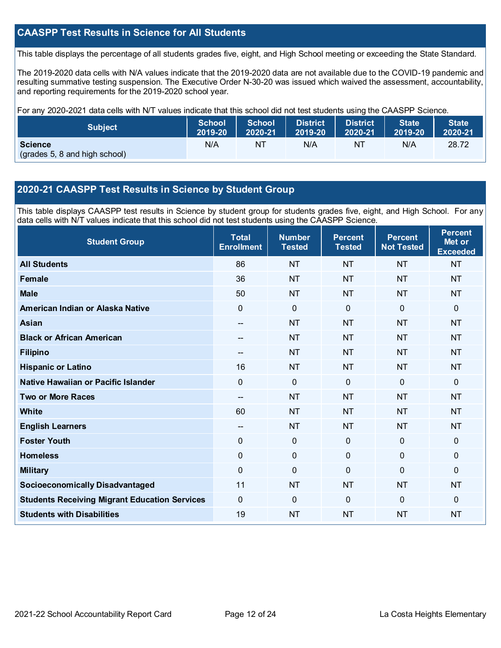## **CAASPP Test Results in Science for All Students**

This table displays the percentage of all students grades five, eight, and High School meeting or exceeding the State Standard.

The 2019-2020 data cells with N/A values indicate that the 2019-2020 data are not available due to the COVID-19 pandemic and resulting summative testing suspension. The Executive Order N-30-20 was issued which waived the assessment, accountability, and reporting requirements for the 2019-2020 school year.

For any 2020-2021 data cells with N/T values indicate that this school did not test students using the CAASPP Science.

| Subject                                         | <b>School</b> | <b>School</b> | <b>District</b> | <b>District</b> | <b>State</b> | <b>State</b> |
|-------------------------------------------------|---------------|---------------|-----------------|-----------------|--------------|--------------|
|                                                 | 2019-20       | 2020-21       | 12019-20        | 2020-21         | 2019-20      | 2020-21      |
| <b>Science</b><br>(grades 5, 8 and high school) | N/A           | NT            | N/A             | NT              | N/A          | 28.72        |

## **2020-21 CAASPP Test Results in Science by Student Group**

This table displays CAASPP test results in Science by student group for students grades five, eight, and High School. For any data cells with N/T values indicate that this school did not test students using the CAASPP Science.

| <b>Student Group</b>                                 | <b>Total</b><br><b>Enrollment</b> | <b>Number</b><br><b>Tested</b> | <b>Percent</b><br><b>Tested</b> | <b>Percent</b><br><b>Not Tested</b> | <b>Percent</b><br>Met or<br><b>Exceeded</b> |
|------------------------------------------------------|-----------------------------------|--------------------------------|---------------------------------|-------------------------------------|---------------------------------------------|
| <b>All Students</b>                                  | 86                                | <b>NT</b>                      | <b>NT</b>                       | <b>NT</b>                           | <b>NT</b>                                   |
| Female                                               | 36                                | <b>NT</b>                      | <b>NT</b>                       | <b>NT</b>                           | <b>NT</b>                                   |
| <b>Male</b>                                          | 50                                | <b>NT</b>                      | <b>NT</b>                       | <b>NT</b>                           | <b>NT</b>                                   |
| American Indian or Alaska Native                     | 0                                 | $\mathbf 0$                    | $\mathbf 0$                     | $\overline{0}$                      | 0                                           |
| <b>Asian</b>                                         | $-$                               | <b>NT</b>                      | <b>NT</b>                       | <b>NT</b>                           | <b>NT</b>                                   |
| <b>Black or African American</b>                     | --                                | <b>NT</b>                      | <b>NT</b>                       | <b>NT</b>                           | <b>NT</b>                                   |
| <b>Filipino</b>                                      | $-$                               | <b>NT</b>                      | <b>NT</b>                       | <b>NT</b>                           | <b>NT</b>                                   |
| <b>Hispanic or Latino</b>                            | 16                                | NT                             | <b>NT</b>                       | <b>NT</b>                           | <b>NT</b>                                   |
| Native Hawaiian or Pacific Islander                  | $\overline{0}$                    | $\mathbf 0$                    | $\mathbf{0}$                    | $\overline{0}$                      | 0                                           |
| <b>Two or More Races</b>                             | --                                | <b>NT</b>                      | <b>NT</b>                       | <b>NT</b>                           | <b>NT</b>                                   |
| <b>White</b>                                         | 60                                | <b>NT</b>                      | <b>NT</b>                       | <b>NT</b>                           | <b>NT</b>                                   |
| <b>English Learners</b>                              | --                                | <b>NT</b>                      | <b>NT</b>                       | <b>NT</b>                           | <b>NT</b>                                   |
| <b>Foster Youth</b>                                  | 0                                 | $\mathbf 0$                    | $\mathbf 0$                     | $\mathbf 0$                         | 0                                           |
| <b>Homeless</b>                                      | 0                                 | $\pmb{0}$                      | $\mathbf 0$                     | 0                                   | 0                                           |
| <b>Military</b>                                      | 0                                 | $\mathbf 0$                    | $\Omega$                        | 0                                   | $\Omega$                                    |
| <b>Socioeconomically Disadvantaged</b>               | 11                                | <b>NT</b>                      | <b>NT</b>                       | <b>NT</b>                           | <b>NT</b>                                   |
| <b>Students Receiving Migrant Education Services</b> | 0                                 | $\mathbf 0$                    | $\Omega$                        | $\mathbf{0}$                        | $\Omega$                                    |
| <b>Students with Disabilities</b>                    | 19                                | <b>NT</b>                      | <b>NT</b>                       | <b>NT</b>                           | <b>NT</b>                                   |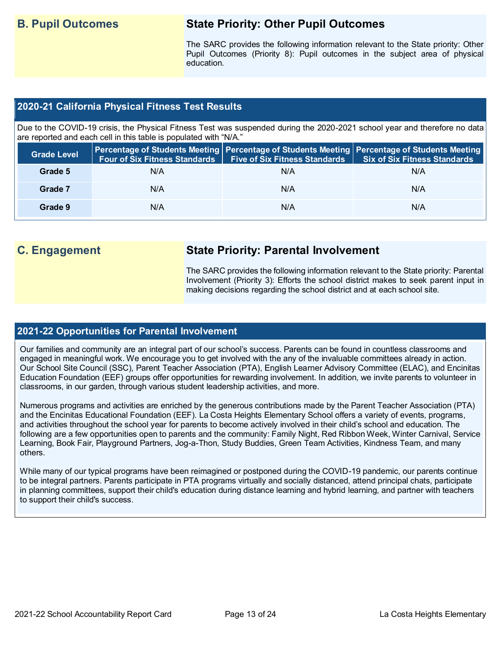## **B. Pupil Outcomes State Priority: Other Pupil Outcomes**

The SARC provides the following information relevant to the State priority: Other Pupil Outcomes (Priority 8): Pupil outcomes in the subject area of physical education.

## **2020-21 California Physical Fitness Test Results**

Due to the COVID-19 crisis, the Physical Fitness Test was suspended during the 2020-2021 school year and therefore no data are reported and each cell in this table is populated with "N/A."

| <b>Grade Level</b> | <b>Four of Six Fitness Standards</b> | Five of Six Fitness Standards   Six of Six Fitness Standards | Percentage of Students Meeting Percentage of Students Meeting Percentage of Students Meeting |
|--------------------|--------------------------------------|--------------------------------------------------------------|----------------------------------------------------------------------------------------------|
| Grade 5            | N/A                                  | N/A                                                          | N/A                                                                                          |
| Grade 7            | N/A                                  | N/A                                                          | N/A                                                                                          |
| Grade 9            | N/A                                  | N/A                                                          | N/A                                                                                          |

## **C. Engagement State Priority: Parental Involvement**

The SARC provides the following information relevant to the State priority: Parental Involvement (Priority 3): Efforts the school district makes to seek parent input in making decisions regarding the school district and at each school site.

## **2021-22 Opportunities for Parental Involvement**

Our families and community are an integral part of our school's success. Parents can be found in countless classrooms and engaged in meaningful work. We encourage you to get involved with the any of the invaluable committees already in action. Our School Site Council (SSC), Parent Teacher Association (PTA), English Learner Advisory Committee (ELAC), and Encinitas Education Foundation (EEF) groups offer opportunities for rewarding involvement. In addition, we invite parents to volunteer in classrooms, in our garden, through various student leadership activities, and more.

Numerous programs and activities are enriched by the generous contributions made by the Parent Teacher Association (PTA) and the Encinitas Educational Foundation (EEF). La Costa Heights Elementary School offers a variety of events, programs, and activities throughout the school year for parents to become actively involved in their child's school and education. The following are a few opportunities open to parents and the community: Family Night, Red Ribbon Week, Winter Carnival, Service Learning, Book Fair, Playground Partners, Jog-a-Thon, Study Buddies, Green Team Activities, Kindness Team, and many others.

While many of our typical programs have been reimagined or postponed during the COVID-19 pandemic, our parents continue to be integral partners. Parents participate in PTA programs virtually and socially distanced, attend principal chats, participate in planning committees, support their child's education during distance learning and hybrid learning, and partner with teachers to support their child's success.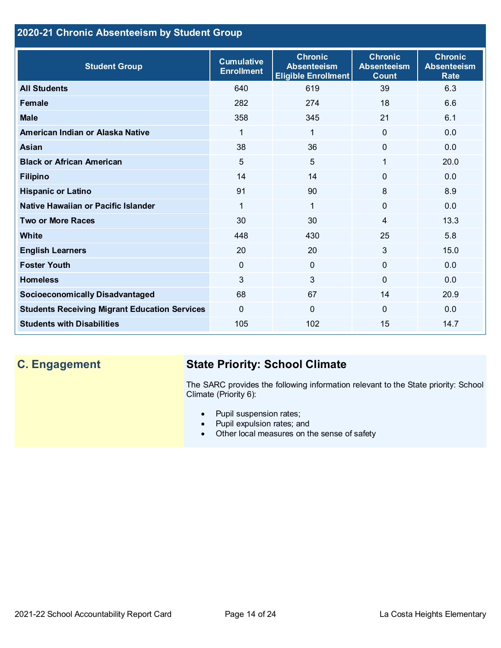## **2020-21 Chronic Absenteeism by Student Group**

| <b>Student Group</b>                                 | <b>Cumulative</b><br><b>Enrollment</b> | <b>Chronic</b><br><b>Absenteeism</b><br><b>Eligible Enrollment</b> | <b>Chronic</b><br><b>Absenteeism</b><br><b>Count</b> | <b>Chronic</b><br><b>Absenteeism</b><br><b>Rate</b> |
|------------------------------------------------------|----------------------------------------|--------------------------------------------------------------------|------------------------------------------------------|-----------------------------------------------------|
| <b>All Students</b>                                  | 640                                    | 619                                                                | 39                                                   | 6.3                                                 |
| <b>Female</b>                                        | 282                                    | 274                                                                | 18                                                   | 6.6                                                 |
| <b>Male</b>                                          | 358                                    | 345                                                                | 21                                                   | 6.1                                                 |
| American Indian or Alaska Native                     | 1                                      | 1                                                                  | $\mathbf{0}$                                         | 0.0                                                 |
| <b>Asian</b>                                         | 38                                     | 36                                                                 | $\mathbf 0$                                          | 0.0                                                 |
| <b>Black or African American</b>                     | $5\phantom{.}$                         | $5\phantom{.}$                                                     | 1                                                    | 20.0                                                |
| <b>Filipino</b>                                      | 14                                     | 14                                                                 | 0                                                    | 0.0                                                 |
| <b>Hispanic or Latino</b>                            | 91                                     | 90                                                                 | 8                                                    | 8.9                                                 |
| Native Hawaiian or Pacific Islander                  | 1                                      | 1                                                                  | $\Omega$                                             | 0.0                                                 |
| <b>Two or More Races</b>                             | 30                                     | 30                                                                 | $\overline{4}$                                       | 13.3                                                |
| <b>White</b>                                         | 448                                    | 430                                                                | 25                                                   | 5.8                                                 |
| <b>English Learners</b>                              | 20                                     | 20                                                                 | 3                                                    | 15.0                                                |
| <b>Foster Youth</b>                                  | $\mathbf 0$                            | $\overline{0}$                                                     | $\Omega$                                             | 0.0                                                 |
| <b>Homeless</b>                                      | $\mathbf{3}$                           | $\mathbf{3}$                                                       | $\Omega$                                             | 0.0                                                 |
| <b>Socioeconomically Disadvantaged</b>               | 68                                     | 67                                                                 | 14                                                   | 20.9                                                |
| <b>Students Receiving Migrant Education Services</b> | $\Omega$                               | $\Omega$                                                           | $\Omega$                                             | 0.0                                                 |
| <b>Students with Disabilities</b>                    | 105                                    | 102                                                                | 15                                                   | 14.7                                                |

## **C. Engagement State Priority: School Climate**

The SARC provides the following information relevant to the State priority: School Climate (Priority 6):

- Pupil suspension rates;
- Pupil expulsion rates; and
- Other local measures on the sense of safety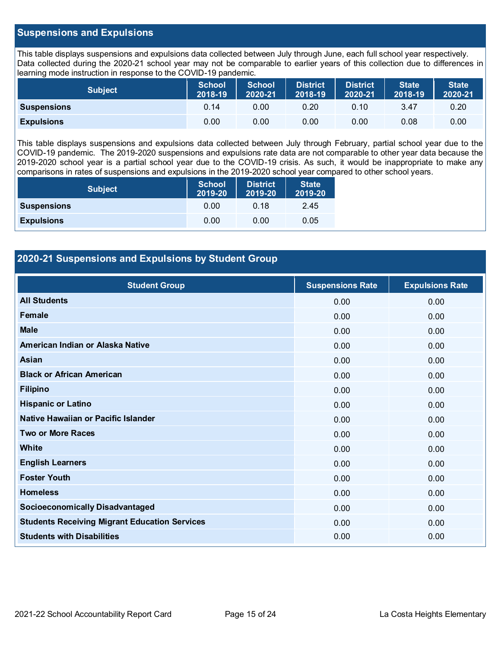## **Suspensions and Expulsions**

This table displays suspensions and expulsions data collected between July through June, each full school year respectively. Data collected during the 2020-21 school year may not be comparable to earlier years of this collection due to differences in learning mode instruction in response to the COVID-19 pandemic.

| Subject            | School<br>2018-19 | <b>School</b><br>2020-21 | <b>District</b><br>2018-19 | District<br>2020-21 | <b>State</b><br>2018-19 | <b>State</b><br>2020-21 |
|--------------------|-------------------|--------------------------|----------------------------|---------------------|-------------------------|-------------------------|
| <b>Suspensions</b> | 0.14              | 0.00                     | 0.20                       | 0.10                | 3.47                    | 0.20                    |
| <b>Expulsions</b>  | 0.00              | 0.00                     | 0.00                       | 0.00                | 0.08                    | 0.00                    |

This table displays suspensions and expulsions data collected between July through February, partial school year due to the COVID-19 pandemic. The 2019-2020 suspensions and expulsions rate data are not comparable to other year data because the 2019-2020 school year is a partial school year due to the COVID-19 crisis. As such, it would be inappropriate to make any comparisons in rates of suspensions and expulsions in the 2019-2020 school year compared to other school years.

| <b>Subject</b>     | <b>School</b><br>2019-20 | <b>District</b><br>2019-20 | <b>State</b><br>2019-20 |
|--------------------|--------------------------|----------------------------|-------------------------|
| <b>Suspensions</b> | 0.00                     | 0.18                       | 2.45                    |
| <b>Expulsions</b>  | 0.00                     | 0.00                       | 0.05                    |

## **2020-21 Suspensions and Expulsions by Student Group**

| <b>Student Group</b>                                 | <b>Suspensions Rate</b> | <b>Expulsions Rate</b> |
|------------------------------------------------------|-------------------------|------------------------|
| <b>All Students</b>                                  | 0.00                    | 0.00                   |
| Female                                               | 0.00                    | 0.00                   |
| <b>Male</b>                                          | 0.00                    | 0.00                   |
| American Indian or Alaska Native                     | 0.00                    | 0.00                   |
| Asian                                                | 0.00                    | 0.00                   |
| <b>Black or African American</b>                     | 0.00                    | 0.00                   |
| <b>Filipino</b>                                      | 0.00                    | 0.00                   |
| <b>Hispanic or Latino</b>                            | 0.00                    | 0.00                   |
| Native Hawaiian or Pacific Islander                  | 0.00                    | 0.00                   |
| <b>Two or More Races</b>                             | 0.00                    | 0.00                   |
| White                                                | 0.00                    | 0.00                   |
| <b>English Learners</b>                              | 0.00                    | 0.00                   |
| <b>Foster Youth</b>                                  | 0.00                    | 0.00                   |
| <b>Homeless</b>                                      | 0.00                    | 0.00                   |
| <b>Socioeconomically Disadvantaged</b>               | 0.00                    | 0.00                   |
| <b>Students Receiving Migrant Education Services</b> | 0.00                    | 0.00                   |
| <b>Students with Disabilities</b>                    | 0.00                    | 0.00                   |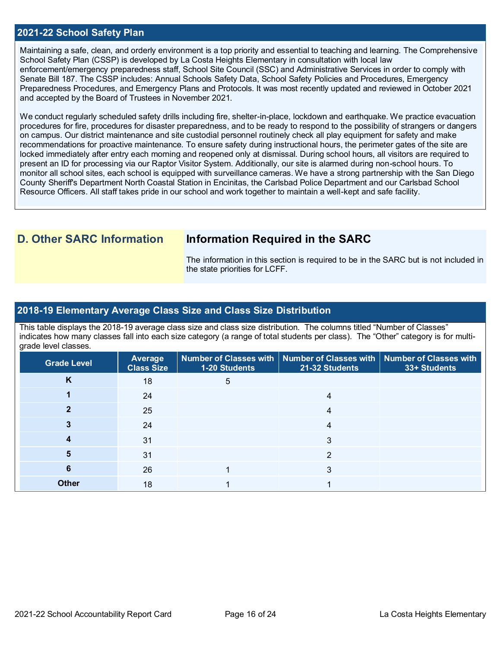### **2021-22 School Safety Plan**

Maintaining a safe, clean, and orderly environment is a top priority and essential to teaching and learning. The Comprehensive School Safety Plan (CSSP) is developed by La Costa Heights Elementary in consultation with local law enforcement/emergency preparedness staff, School Site Council (SSC) and Administrative Services in order to comply with Senate Bill 187. The CSSP includes: Annual Schools Safety Data, School Safety Policies and Procedures, Emergency Preparedness Procedures, and Emergency Plans and Protocols. It was most recently updated and reviewed in October 2021 and accepted by the Board of Trustees in November 2021.

We conduct regularly scheduled safety drills including fire, shelter-in-place, lockdown and earthquake. We practice evacuation procedures for fire, procedures for disaster preparedness, and to be ready to respond to the possibility of strangers or dangers on campus. Our district maintenance and site custodial personnel routinely check all play equipment for safety and make recommendations for proactive maintenance. To ensure safety during instructional hours, the perimeter gates of the site are locked immediately after entry each morning and reopened only at dismissal. During school hours, all visitors are required to present an ID for processing via our Raptor Visitor System. Additionally, our site is alarmed during non-school hours. To monitor all school sites, each school is equipped with surveillance cameras. We have a strong partnership with the San Diego County Sheriff's Department North Coastal Station in Encinitas, the Carlsbad Police Department and our Carlsbad School Resource Officers. All staff takes pride in our school and work together to maintain a well-kept and safe facility.

## **D. Other SARC Information Information Required in the SARC**

The information in this section is required to be in the SARC but is not included in the state priorities for LCFF.

### **2018-19 Elementary Average Class Size and Class Size Distribution**

This table displays the 2018-19 average class size and class size distribution. The columns titled "Number of Classes" indicates how many classes fall into each size category (a range of total students per class). The "Other" category is for multigrade level classes.

| <b>Grade Level</b> | Average<br><b>Class Size</b> | 1-20 Students | Number of Classes with   Number of Classes with   Number of Classes with<br>21-32 Students | 33+ Students |
|--------------------|------------------------------|---------------|--------------------------------------------------------------------------------------------|--------------|
| Κ                  | 18                           | 5             |                                                                                            |              |
|                    | 24                           |               | 4                                                                                          |              |
|                    | 25                           |               | 4                                                                                          |              |
|                    | 24                           |               | 4                                                                                          |              |
|                    | 31                           |               | 3                                                                                          |              |
|                    | 31                           |               | 2                                                                                          |              |
| 6                  | 26                           |               | 3                                                                                          |              |
| <b>Other</b>       | 18                           |               |                                                                                            |              |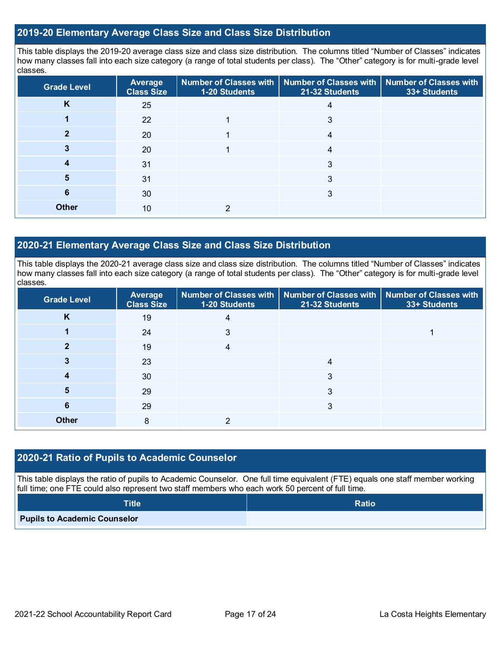## **2019-20 Elementary Average Class Size and Class Size Distribution**

This table displays the 2019-20 average class size and class size distribution. The columns titled "Number of Classes" indicates how many classes fall into each size category (a range of total students per class). The "Other" category is for multi-grade level classes.

| <b>Grade Level</b> | Average<br><b>Class Size</b> | 1-20 Students | Number of Classes with   Number of Classes with  <br>21-32 Students | <b>Number of Classes with</b><br>33+ Students |
|--------------------|------------------------------|---------------|---------------------------------------------------------------------|-----------------------------------------------|
| K                  | 25                           |               | 4                                                                   |                                               |
|                    | 22                           |               | 3                                                                   |                                               |
|                    | 20                           |               | 4                                                                   |                                               |
|                    | 20                           |               | 4                                                                   |                                               |
|                    | 31                           |               | 3                                                                   |                                               |
| 5                  | 31                           |               | 3                                                                   |                                               |
| 6                  | 30                           |               | 3                                                                   |                                               |
| <b>Other</b>       | 10                           | ົ             |                                                                     |                                               |

## **2020-21 Elementary Average Class Size and Class Size Distribution**

This table displays the 2020-21 average class size and class size distribution. The columns titled "Number of Classes" indicates how many classes fall into each size category (a range of total students per class). The "Other" category is for multi-grade level classes.

| <b>Grade Level</b> | <b>Average</b><br><b>Class Size</b> | 1-20 Students | Number of Classes with   Number of Classes with   Number of Classes with<br>21-32 Students | 33+ Students |
|--------------------|-------------------------------------|---------------|--------------------------------------------------------------------------------------------|--------------|
| K                  | 19                                  | 4             |                                                                                            |              |
|                    | 24                                  | 3             |                                                                                            |              |
| כי                 | 19                                  | 4             |                                                                                            |              |
|                    | 23                                  |               | 4                                                                                          |              |
|                    | 30                                  |               | 3                                                                                          |              |
| 5                  | 29                                  |               | 3                                                                                          |              |
| 6                  | 29                                  |               | 3                                                                                          |              |
| <b>Other</b>       | 8                                   |               |                                                                                            |              |

## **2020-21 Ratio of Pupils to Academic Counselor**

This table displays the ratio of pupils to Academic Counselor. One full time equivalent (FTE) equals one staff member working full time; one FTE could also represent two staff members who each work 50 percent of full time.

| <b>Title</b>                        | <b>Ratio</b> |
|-------------------------------------|--------------|
| <b>Pupils to Academic Counselor</b> |              |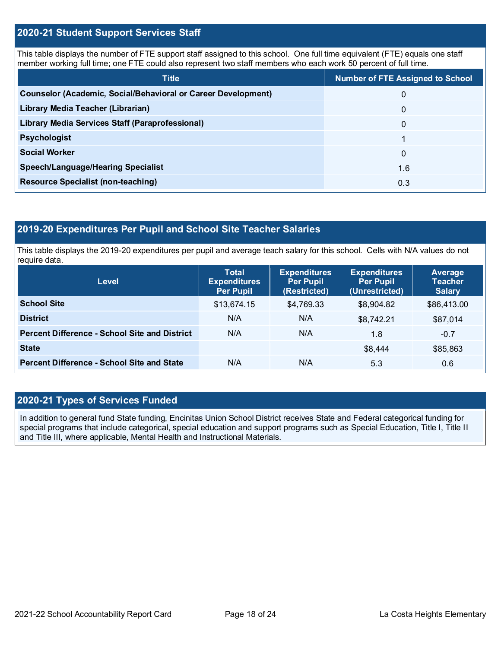## **2020-21 Student Support Services Staff**

This table displays the number of FTE support staff assigned to this school. One full time equivalent (FTE) equals one staff member working full time; one FTE could also represent two staff members who each work 50 percent of full time.

| <b>Title</b>                                                  | <b>Number of FTE Assigned to School</b> |
|---------------------------------------------------------------|-----------------------------------------|
| Counselor (Academic, Social/Behavioral or Career Development) | 0                                       |
| Library Media Teacher (Librarian)                             | 0                                       |
| Library Media Services Staff (Paraprofessional)               | 0                                       |
| <b>Psychologist</b>                                           |                                         |
| <b>Social Worker</b>                                          | $\Omega$                                |
| <b>Speech/Language/Hearing Specialist</b>                     | 1.6                                     |
| <b>Resource Specialist (non-teaching)</b>                     | 0.3                                     |

## **2019-20 Expenditures Per Pupil and School Site Teacher Salaries**

This table displays the 2019-20 expenditures per pupil and average teach salary for this school. Cells with N/A values do not require data.

| <b>Level</b>                                         | <b>Total</b><br><b>Expenditures</b><br><b>Per Pupil</b> | <b>Expenditures</b><br><b>Per Pupil</b><br>(Restricted) | <b>Expenditures</b><br><b>Per Pupil</b><br>(Unrestricted) | Average<br><b>Teacher</b><br><b>Salary</b> |
|------------------------------------------------------|---------------------------------------------------------|---------------------------------------------------------|-----------------------------------------------------------|--------------------------------------------|
| <b>School Site</b>                                   | \$13,674.15                                             | \$4,769.33                                              | \$8,904.82                                                | \$86,413.00                                |
| <b>District</b>                                      | N/A                                                     | N/A                                                     | \$8,742.21                                                | \$87,014                                   |
| <b>Percent Difference - School Site and District</b> | N/A                                                     | N/A                                                     | 1.8                                                       | $-0.7$                                     |
| <b>State</b>                                         |                                                         |                                                         | \$8,444                                                   | \$85,863                                   |
| <b>Percent Difference - School Site and State</b>    | N/A                                                     | N/A                                                     | 5.3                                                       | 0.6                                        |

## **2020-21 Types of Services Funded**

In addition to general fund State funding, Encinitas Union School District receives State and Federal categorical funding for special programs that include categorical, special education and support programs such as Special Education, Title I, Title II and Title III, where applicable, Mental Health and Instructional Materials.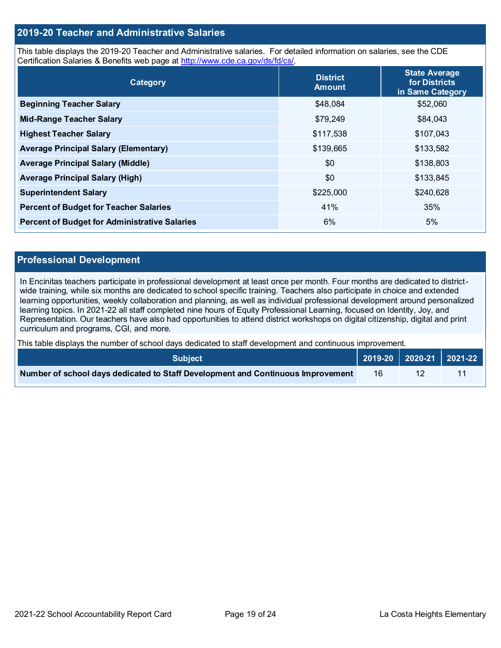## **2019-20 Teacher and Administrative Salaries**

This table displays the 2019-20 Teacher and Administrative salaries. For detailed information on salaries, see the CDE Certification Salaries & Benefits web page at [http://www.cde.ca.gov/ds/fd/cs/.](http://www.cde.ca.gov/ds/fd/cs/)

| Category                                             | <b>District</b><br><b>Amount</b> | <b>State Average</b><br>for Districts<br>in Same Category |
|------------------------------------------------------|----------------------------------|-----------------------------------------------------------|
| <b>Beginning Teacher Salary</b>                      | \$48,084                         | \$52,060                                                  |
| <b>Mid-Range Teacher Salary</b>                      | \$79,249                         | \$84,043                                                  |
| <b>Highest Teacher Salary</b>                        | \$117,538                        | \$107,043                                                 |
| <b>Average Principal Salary (Elementary)</b>         | \$139,665                        | \$133,582                                                 |
| <b>Average Principal Salary (Middle)</b>             | \$0                              | \$138,803                                                 |
| <b>Average Principal Salary (High)</b>               | \$0                              | \$133,845                                                 |
| <b>Superintendent Salary</b>                         | \$225,000                        | \$240,628                                                 |
| <b>Percent of Budget for Teacher Salaries</b>        | 41%                              | 35%                                                       |
| <b>Percent of Budget for Administrative Salaries</b> | 6%                               | 5%                                                        |

#### **Professional Development**

In Encinitas teachers participate in professional development at least once per month. Four months are dedicated to districtwide training, while six months are dedicated to school specific training. Teachers also participate in choice and extended learning opportunities, weekly collaboration and planning, as well as individual professional development around personalized learning topics. In 2021-22 all staff completed nine hours of Equity Professional Learning, focused on Identity, Joy, and Representation. Our teachers have also had opportunities to attend district workshops on digital citizenship, digital and print curriculum and programs, CGI, and more.

This table displays the number of school days dedicated to staff development and continuous improvement.

| <b>Subject</b>                                                                  |    | 2019-20 2020-21 2021-22 |
|---------------------------------------------------------------------------------|----|-------------------------|
| Number of school days dedicated to Staff Development and Continuous Improvement | 16 |                         |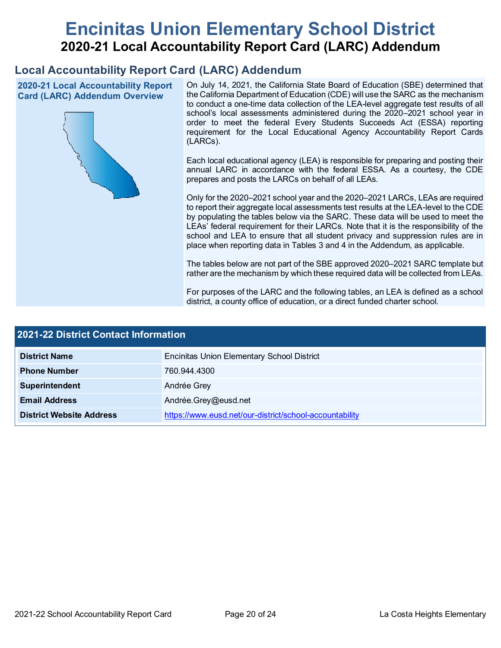# **Encinitas Union Elementary School District 2020-21 Local Accountability Report Card (LARC) Addendum**

## **Local Accountability Report Card (LARC) Addendum**

**2020-21 Local Accountability Report Card (LARC) Addendum Overview**



On July 14, 2021, the California State Board of Education (SBE) determined that the California Department of Education (CDE) will use the SARC as the mechanism to conduct a one-time data collection of the LEA-level aggregate test results of all school's local assessments administered during the 2020–2021 school year in order to meet the federal Every Students Succeeds Act (ESSA) reporting requirement for the Local Educational Agency Accountability Report Cards (LARCs).

Each local educational agency (LEA) is responsible for preparing and posting their annual LARC in accordance with the federal ESSA. As a courtesy, the CDE prepares and posts the LARCs on behalf of all LEAs.

Only for the 2020–2021 school year and the 2020–2021 LARCs, LEAs are required to report their aggregate local assessments test results at the LEA-level to the CDE by populating the tables below via the SARC. These data will be used to meet the LEAs' federal requirement for their LARCs. Note that it is the responsibility of the school and LEA to ensure that all student privacy and suppression rules are in place when reporting data in Tables 3 and 4 in the Addendum, as applicable.

The tables below are not part of the SBE approved 2020–2021 SARC template but rather are the mechanism by which these required data will be collected from LEAs.

For purposes of the LARC and the following tables, an LEA is defined as a school district, a county office of education, or a direct funded charter school.

| 2021-22 District Contact Information |                                                         |  |  |  |
|--------------------------------------|---------------------------------------------------------|--|--|--|
| <b>District Name</b>                 | <b>Encinitas Union Elementary School District</b>       |  |  |  |
| <b>Phone Number</b>                  | 760.944.4300                                            |  |  |  |
| Superintendent                       | Andrée Grey                                             |  |  |  |
| <b>Email Address</b>                 | Andrée.Grey@eusd.net                                    |  |  |  |
| <b>District Website Address</b>      | https://www.eusd.net/our-district/school-accountability |  |  |  |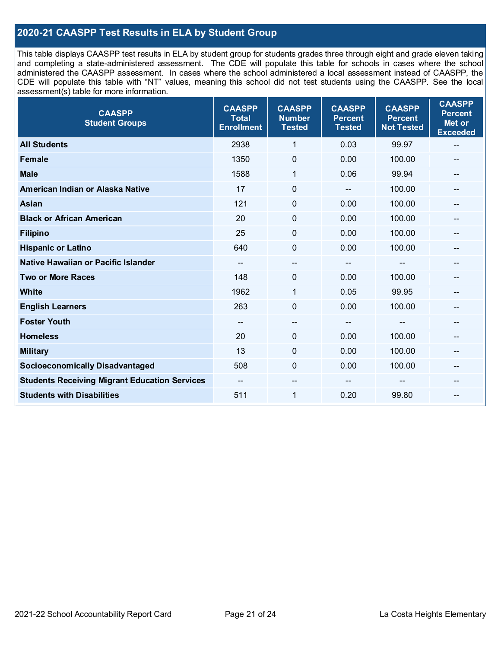## **2020-21 CAASPP Test Results in ELA by Student Group**

This table displays CAASPP test results in ELA by student group for students grades three through eight and grade eleven taking and completing a state-administered assessment. The CDE will populate this table for schools in cases where the school administered the CAASPP assessment. In cases where the school administered a local assessment instead of CAASPP, the CDE will populate this table with "NT" values, meaning this school did not test students using the CAASPP. See the local assessment(s) table for more information.

| <b>CAASPP</b><br><b>Student Groups</b>               | <b>CAASPP</b><br><b>Total</b><br><b>Enrollment</b> | <b>CAASPP</b><br><b>Number</b><br><b>Tested</b> | <b>CAASPP</b><br><b>Percent</b><br><b>Tested</b> | <b>CAASPP</b><br><b>Percent</b><br><b>Not Tested</b> | <b>CAASPP</b><br><b>Percent</b><br>Met or<br><b>Exceeded</b> |
|------------------------------------------------------|----------------------------------------------------|-------------------------------------------------|--------------------------------------------------|------------------------------------------------------|--------------------------------------------------------------|
| <b>All Students</b>                                  | 2938                                               | 1                                               | 0.03                                             | 99.97                                                | --                                                           |
| <b>Female</b>                                        | 1350                                               | $\mathbf 0$                                     | 0.00                                             | 100.00                                               | --                                                           |
| <b>Male</b>                                          | 1588                                               | 1                                               | 0.06                                             | 99.94                                                | $\qquad \qquad \blacksquare$                                 |
| American Indian or Alaska Native                     | 17                                                 | $\pmb{0}$                                       | $\qquad \qquad \blacksquare$                     | 100.00                                               | --                                                           |
| <b>Asian</b>                                         | 121                                                | 0                                               | 0.00                                             | 100.00                                               | --                                                           |
| <b>Black or African American</b>                     | 20                                                 | $\mathbf 0$                                     | 0.00                                             | 100.00                                               |                                                              |
| <b>Filipino</b>                                      | 25                                                 | $\mathbf 0$                                     | 0.00                                             | 100.00                                               |                                                              |
| <b>Hispanic or Latino</b>                            | 640                                                | $\mathbf 0$                                     | 0.00                                             | 100.00                                               | $\qquad \qquad \blacksquare$                                 |
| Native Hawaiian or Pacific Islander                  | --                                                 | --                                              | --                                               | --                                                   | --                                                           |
| <b>Two or More Races</b>                             | 148                                                | 0                                               | 0.00                                             | 100.00                                               | --                                                           |
| <b>White</b>                                         | 1962                                               | 1                                               | 0.05                                             | 99.95                                                |                                                              |
| <b>English Learners</b>                              | 263                                                | $\mathbf 0$                                     | 0.00                                             | 100.00                                               |                                                              |
| <b>Foster Youth</b>                                  | $\overline{\phantom{m}}$                           | $\hspace{0.05cm}$ $\hspace{0.05cm}$             | $\overline{\phantom{a}}$                         | $-$                                                  | --                                                           |
| <b>Homeless</b>                                      | 20                                                 | $\mathbf 0$                                     | 0.00                                             | 100.00                                               | --                                                           |
| <b>Military</b>                                      | 13                                                 | 0                                               | 0.00                                             | 100.00                                               | --                                                           |
| <b>Socioeconomically Disadvantaged</b>               | 508                                                | $\Omega$                                        | 0.00                                             | 100.00                                               | --                                                           |
| <b>Students Receiving Migrant Education Services</b> | --                                                 | --                                              |                                                  |                                                      |                                                              |
| <b>Students with Disabilities</b>                    | 511                                                | $\mathbf{1}$                                    | 0.20                                             | 99.80                                                | $\qquad \qquad \qquad \qquad$                                |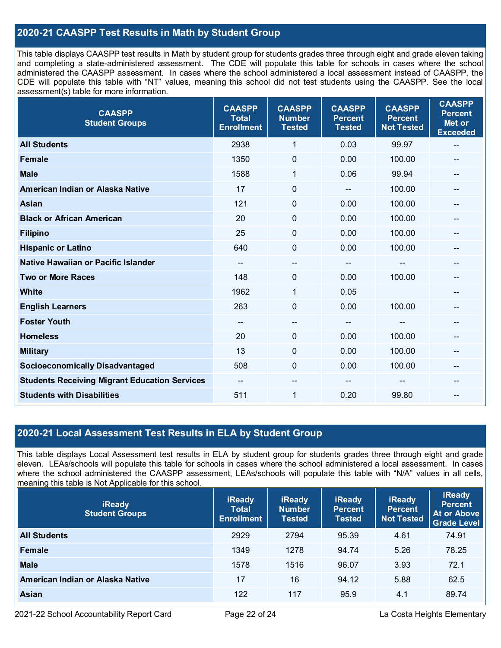## **2020-21 CAASPP Test Results in Math by Student Group**

This table displays CAASPP test results in Math by student group for students grades three through eight and grade eleven taking and completing a state-administered assessment. The CDE will populate this table for schools in cases where the school administered the CAASPP assessment. In cases where the school administered a local assessment instead of CAASPP, the CDE will populate this table with "NT" values, meaning this school did not test students using the CAASPP. See the local assessment(s) table for more information.

| <b>CAASPP</b><br><b>Student Groups</b>               | <b>CAASPP</b><br><b>Total</b><br><b>Enrollment</b> | <b>CAASPP</b><br><b>Number</b><br><b>Tested</b> | <b>CAASPP</b><br><b>Percent</b><br><b>Tested</b> | <b>CAASPP</b><br><b>Percent</b><br><b>Not Tested</b> | <b>CAASPP</b><br><b>Percent</b><br>Met or<br><b>Exceeded</b> |
|------------------------------------------------------|----------------------------------------------------|-------------------------------------------------|--------------------------------------------------|------------------------------------------------------|--------------------------------------------------------------|
| <b>All Students</b>                                  | 2938                                               | $\mathbf{1}$                                    | 0.03                                             | 99.97                                                | --                                                           |
| <b>Female</b>                                        | 1350                                               | $\mathbf 0$                                     | 0.00                                             | 100.00                                               |                                                              |
| <b>Male</b>                                          | 1588                                               | 1                                               | 0.06                                             | 99.94                                                | $\qquad \qquad \blacksquare$                                 |
| American Indian or Alaska Native                     | 17                                                 | $\pmb{0}$                                       | $\qquad \qquad \blacksquare$                     | 100.00                                               | --                                                           |
| <b>Asian</b>                                         | 121                                                | 0                                               | 0.00                                             | 100.00                                               |                                                              |
| <b>Black or African American</b>                     | 20                                                 | 0                                               | 0.00                                             | 100.00                                               | --                                                           |
| <b>Filipino</b>                                      | 25                                                 | 0                                               | 0.00                                             | 100.00                                               |                                                              |
| <b>Hispanic or Latino</b>                            | 640                                                | $\mathbf 0$                                     | 0.00                                             | 100.00                                               | --                                                           |
| Native Hawaiian or Pacific Islander                  | $\overline{\phantom{a}}$                           | --                                              | $\qquad \qquad \qquad \qquad$                    | --                                                   | --                                                           |
| <b>Two or More Races</b>                             | 148                                                | 0                                               | 0.00                                             | 100.00                                               |                                                              |
| <b>White</b>                                         | 1962                                               | 1                                               | 0.05                                             |                                                      | --                                                           |
| <b>English Learners</b>                              | 263                                                | $\mathbf 0$                                     | 0.00                                             | 100.00                                               |                                                              |
| <b>Foster Youth</b>                                  | $\overline{\phantom{a}}$                           | $- -$                                           | $\qquad \qquad \blacksquare$                     | $\overline{\phantom{a}}$                             | --                                                           |
| <b>Homeless</b>                                      | 20                                                 | $\mathbf 0$                                     | 0.00                                             | 100.00                                               | --                                                           |
| <b>Military</b>                                      | 13                                                 | $\pmb{0}$                                       | 0.00                                             | 100.00                                               | --                                                           |
| <b>Socioeconomically Disadvantaged</b>               | 508                                                | 0                                               | 0.00                                             | 100.00                                               | $\qquad \qquad \qquad \qquad$                                |
| <b>Students Receiving Migrant Education Services</b> | $\overline{\phantom{a}}$                           | --                                              |                                                  |                                                      | --                                                           |
| <b>Students with Disabilities</b>                    | 511                                                | 1                                               | 0.20                                             | 99.80                                                | --                                                           |

## **2020-21 Local Assessment Test Results in ELA by Student Group**

This table displays Local Assessment test results in ELA by student group for students grades three through eight and grade eleven. LEAs/schools will populate this table for schools in cases where the school administered a local assessment. In cases where the school administered the CAASPP assessment, LEAs/schools will populate this table with "N/A" values in all cells, meaning this table is Not Applicable for this school.

| <b>iReady</b><br><b>Student Groups</b> | <b>iReady</b><br><b>Total</b><br><b>Enrollment</b> | <b>iReady</b><br><b>Number</b><br><b>Tested</b> | <b>iReady</b><br><b>Percent</b><br><b>Tested</b> | <b>iReady</b><br><b>Percent</b><br><b>Not Tested</b> | <b>iReady</b><br><b>Percent</b><br>At or Above<br><b>Grade Level</b> |
|----------------------------------------|----------------------------------------------------|-------------------------------------------------|--------------------------------------------------|------------------------------------------------------|----------------------------------------------------------------------|
| <b>All Students</b>                    | 2929                                               | 2794                                            | 95.39                                            | 4.61                                                 | 74.91                                                                |
| Female                                 | 1349                                               | 1278                                            | 94.74                                            | 5.26                                                 | 78.25                                                                |
| <b>Male</b>                            | 1578                                               | 1516                                            | 96.07                                            | 3.93                                                 | 72.1                                                                 |
| American Indian or Alaska Native       | 17                                                 | 16                                              | 94.12                                            | 5.88                                                 | 62.5                                                                 |
| <b>Asian</b>                           | 122                                                | 117                                             | 95.9                                             | 4.1                                                  | 89.74                                                                |

2021-22 School Accountability Report Card **Page 22 of 24** Page 22 of 24 La Costa Heights Elementary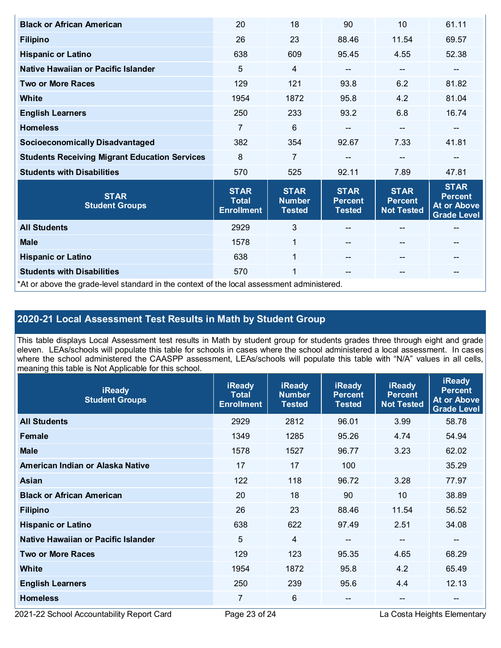| <b>Black or African American</b>                                                           | 20                                               | 18                                            | 90                                             | 10                                                 | 61.11                                                              |  |
|--------------------------------------------------------------------------------------------|--------------------------------------------------|-----------------------------------------------|------------------------------------------------|----------------------------------------------------|--------------------------------------------------------------------|--|
| <b>Filipino</b>                                                                            | 26                                               | 23                                            | 88.46                                          | 11.54                                              | 69.57                                                              |  |
| <b>Hispanic or Latino</b>                                                                  | 638                                              | 609                                           | 95.45                                          | 4.55                                               | 52.38                                                              |  |
| Native Hawaiian or Pacific Islander                                                        | 5                                                | $\overline{4}$                                | --                                             | --                                                 | --                                                                 |  |
| <b>Two or More Races</b>                                                                   | 129                                              | 121                                           | 93.8                                           | 6.2                                                | 81.82                                                              |  |
| White                                                                                      | 1954                                             | 1872                                          | 95.8                                           | 4.2                                                | 81.04                                                              |  |
| <b>English Learners</b>                                                                    | 250                                              | 233                                           | 93.2                                           | 6.8                                                | 16.74                                                              |  |
| <b>Homeless</b>                                                                            | 7                                                | 6                                             | --                                             | $-$                                                |                                                                    |  |
| <b>Socioeconomically Disadvantaged</b>                                                     | 382                                              | 354                                           | 92.67                                          | 7.33                                               | 41.81                                                              |  |
| <b>Students Receiving Migrant Education Services</b>                                       | 8                                                | $\overline{7}$                                |                                                | $\qquad \qquad -$                                  | --                                                                 |  |
| <b>Students with Disabilities</b>                                                          | 570                                              | 525                                           | 92.11                                          | 7.89                                               | 47.81                                                              |  |
| <b>STAR</b><br><b>Student Groups</b>                                                       | <b>STAR</b><br><b>Total</b><br><b>Enrollment</b> | <b>STAR</b><br><b>Number</b><br><b>Tested</b> | <b>STAR</b><br><b>Percent</b><br><b>Tested</b> | <b>STAR</b><br><b>Percent</b><br><b>Not Tested</b> | <b>STAR</b><br><b>Percent</b><br>At or Above<br><b>Grade Level</b> |  |
| <b>All Students</b>                                                                        | 2929                                             | 3                                             |                                                |                                                    |                                                                    |  |
| <b>Male</b>                                                                                | 1578                                             | $\mathbf{1}$                                  |                                                | $\qquad \qquad -$                                  | --                                                                 |  |
| <b>Hispanic or Latino</b>                                                                  | 638                                              | $\mathbf{1}$                                  |                                                | $-$                                                | --                                                                 |  |
| <b>Students with Disabilities</b>                                                          | 570                                              | 1                                             | $\qquad \qquad -$                              | $- -$                                              | --                                                                 |  |
| *At or above the grade-level standard in the context of the local assessment administered. |                                                  |                                               |                                                |                                                    |                                                                    |  |

# **2020-21 Local Assessment Test Results in Math by Student Group**

This table displays Local Assessment test results in Math by student group for students grades three through eight and grade eleven. LEAs/schools will populate this table for schools in cases where the school administered a local assessment. In cases where the school administered the CAASPP assessment, LEAs/schools will populate this table with "N/A" values in all cells, meaning this table is Not Applicable for this school.

| <b>iReady</b><br><b>Student Groups</b> | <b>iReady</b><br><b>Total</b><br><b>Enrollment</b> | <b>iReady</b><br><b>Number</b><br><b>Tested</b> | <b>iReady</b><br><b>Percent</b><br><b>Tested</b> | <b>iReady</b><br><b>Percent</b><br><b>Not Tested</b> | <b>iReady</b><br><b>Percent</b><br><b>At or Above</b><br><b>Grade Level</b> |
|----------------------------------------|----------------------------------------------------|-------------------------------------------------|--------------------------------------------------|------------------------------------------------------|-----------------------------------------------------------------------------|
| <b>All Students</b>                    | 2929                                               | 2812                                            | 96.01                                            | 3.99                                                 | 58.78                                                                       |
| Female                                 | 1349                                               | 1285                                            | 95.26                                            | 4.74                                                 | 54.94                                                                       |
| <b>Male</b>                            | 1578                                               | 1527                                            | 96.77                                            | 3.23                                                 | 62.02                                                                       |
| American Indian or Alaska Native       | 17                                                 | 17                                              | 100                                              |                                                      | 35.29                                                                       |
| Asian                                  | 122                                                | 118                                             | 96.72                                            | 3.28                                                 | 77.97                                                                       |
| <b>Black or African American</b>       | 20                                                 | 18                                              | 90                                               | 10 <sup>°</sup>                                      | 38.89                                                                       |
| <b>Filipino</b>                        | 26                                                 | 23                                              | 88.46                                            | 11.54                                                | 56.52                                                                       |
| <b>Hispanic or Latino</b>              | 638                                                | 622                                             | 97.49                                            | 2.51                                                 | 34.08                                                                       |
| Native Hawaiian or Pacific Islander    | 5                                                  | $\overline{4}$                                  | $\overline{\phantom{m}}$                         | --                                                   | --                                                                          |
| <b>Two or More Races</b>               | 129                                                | 123                                             | 95.35                                            | 4.65                                                 | 68.29                                                                       |
| <b>White</b>                           | 1954                                               | 1872                                            | 95.8                                             | 4.2                                                  | 65.49                                                                       |
| <b>English Learners</b>                | 250                                                | 239                                             | 95.6                                             | 4.4                                                  | 12.13                                                                       |
| <b>Homeless</b>                        | 7                                                  | 6                                               |                                                  | --                                                   | $\qquad \qquad \qquad -$                                                    |